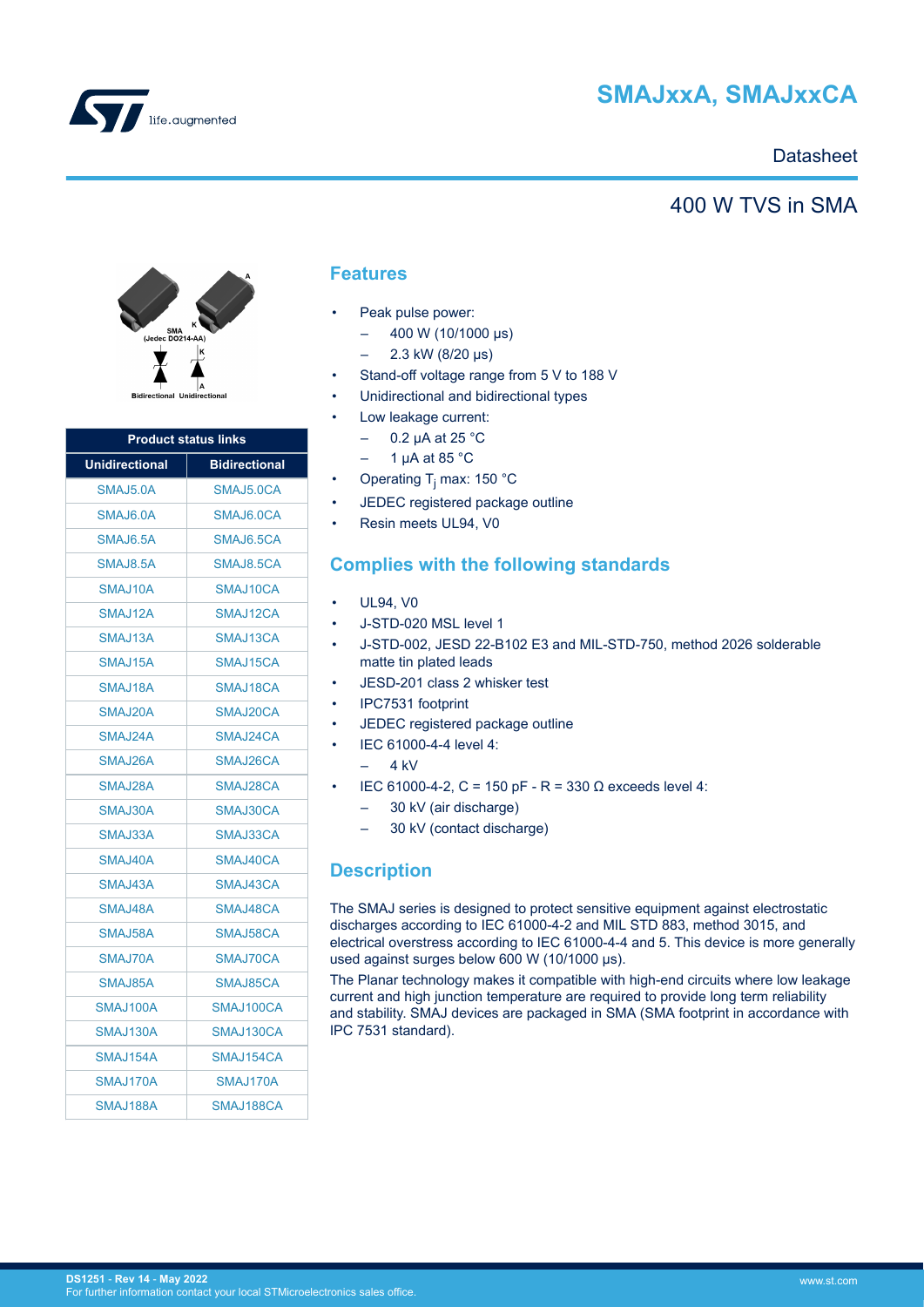

# **SMAJxxA, SMAJxxCA**

## **Datasheet**

## 400 W TVS in SMA



**Product status links Unidirectional Bidirectional** [SMAJ5.0A](https://www.st.com/en/product/smaj5-0a?ecmp=tt9470_gl_link_feb2019&rt=ds&id=DS1251) [SMAJ5.0CA](https://www.st.com/en/product/smaj5-0ca?ecmp=tt9470_gl_link_feb2019&rt=ds&id=DS1251) [SMAJ6.0A](https://www.st.com/en/product/smaj6-0a?ecmp=tt9470_gl_link_feb2019&rt=ds&id=DS1251) [SMAJ6.0CA](https://www.st.com/en/product/smaj6-0ca?ecmp=tt9470_gl_link_feb2019&rt=ds&id=DS1251) [SMAJ6.5A](https://www.st.com/en/product/smaj6-5a?ecmp=tt9470_gl_link_feb2019&rt=ds&id=DS1251) [SMAJ6.5CA](https://www.st.com/en/product/smaj6-5ca?ecmp=tt9470_gl_link_feb2019&rt=ds&id=DS1251) [SMAJ8.5A](https://www.st.com/en/product/smaj8-5a?ecmp=tt9470_gl_link_feb2019&rt=ds&id=DS1251) [SMAJ8.5CA](https://www.st.com/en/product/smaj8-5ca?ecmp=tt9470_gl_link_feb2019&rt=ds&id=DS1251) [SMAJ10A](https://www.st.com/en/product/smaj10a?ecmp=tt9470_gl_link_feb2019&rt=ds&id=DS1251) [SMAJ10CA](https://www.st.com/en/product/smaj10ca?ecmp=tt9470_gl_link_feb2019&rt=ds&id=DS1251) [SMAJ12A](https://www.st.com/en/product/smaj12a?ecmp=tt9470_gl_link_feb2019&rt=ds&id=DS1251) [SMAJ12CA](https://www.st.com/en/product/smaj12ca?ecmp=tt9470_gl_link_feb2019&rt=ds&id=DS1251) [SMAJ13A](https://www.st.com/en/product/smaj13a?ecmp=tt9470_gl_link_feb2019&rt=ds&id=DS1251) [SMAJ13CA](https://www.st.com/en/product/smaj13ca?ecmp=tt9470_gl_link_feb2019&rt=ds&id=DS1251) [SMAJ15A](https://www.st.com/en/product/smaj15a?ecmp=tt9470_gl_link_feb2019&rt=ds&id=DS1251) | [SMAJ15CA](https://www.st.com/en/product/smaj15ca?ecmp=tt9470_gl_link_feb2019&rt=ds&id=DS1251) [SMAJ18A](https://www.st.com/en/product/smaj18a?ecmp=tt9470_gl_link_feb2019&rt=ds&id=DS1251) | [SMAJ18CA](https://www.st.com/en/product/smaj18ca?ecmp=tt9470_gl_link_feb2019&rt=ds&id=DS1251) [SMAJ20A](https://www.st.com/en/product/smaj20a?ecmp=tt9470_gl_link_feb2019&rt=ds&id=DS1251) [SMAJ20CA](https://www.st.com/en/product/smaj20ca?ecmp=tt9470_gl_link_feb2019&rt=ds&id=DS1251) [SMAJ24A](https://www.st.com/en/product/smaj24a?ecmp=tt9470_gl_link_feb2019&rt=ds&id=DS1251) [SMAJ24CA](https://www.st.com/en/product/smaj24ca?ecmp=tt9470_gl_link_feb2019&rt=ds&id=DS1251) [SMAJ26A](https://www.st.com/en/product/smaj26a?ecmp=tt9470_gl_link_feb2019&rt=ds&id=DS1251) [SMAJ26CA](https://www.st.com/en/product/smaj26ca?ecmp=tt9470_gl_link_feb2019&rt=ds&id=DS1251) [SMAJ28A](https://www.st.com/en/product/smaj28a?ecmp=tt9470_gl_link_feb2019&rt=ds&id=DS1251) [SMAJ28CA](https://www.st.com/en/product/smaj28ca?ecmp=tt9470_gl_link_feb2019&rt=ds&id=DS1251) [SMAJ30A](https://www.st.com/en/product/smaj30a?ecmp=tt9470_gl_link_feb2019&rt=ds&id=DS1251) [SMAJ30CA](https://www.st.com/en/product/smaj30ca?ecmp=tt9470_gl_link_feb2019&rt=ds&id=DS1251) [SMAJ33A](https://www.st.com/en/product/smaj33a?ecmp=tt9470_gl_link_feb2019&rt=ds&id=DS1251) [SMAJ33CA](https://www.st.com/en/product/smaj33ca?ecmp=tt9470_gl_link_feb2019&rt=ds&id=DS1251) [SMAJ40A](https://www.st.com/en/product/smaj40a?ecmp=tt9470_gl_link_feb2019&rt=ds&id=DS1251) [SMAJ40CA](https://www.st.com/en/product/smaj40ca?ecmp=tt9470_gl_link_feb2019&rt=ds&id=DS1251) [SMAJ43A](https://www.st.com/en/product/smaj43a?ecmp=tt9470_gl_link_feb2019&rt=ds&id=DS1251) [SMAJ43CA](https://www.st.com/en/product/smaj43ca?ecmp=tt9470_gl_link_feb2019&rt=ds&id=DS1251) [SMAJ48A](https://www.st.com/en/product/smaj48a?ecmp=tt9470_gl_link_feb2019&rt=ds&id=DS1251) [SMAJ48CA](https://www.st.com/en/product/smaj48ca?ecmp=tt9470_gl_link_feb2019&rt=ds&id=DS1251) [SMAJ58A](https://www.st.com/en/product/smaj58a?ecmp=tt9470_gl_link_feb2019&rt=ds&id=DS1251) [SMAJ58CA](https://www.st.com/en/product/smaj58ca?ecmp=tt9470_gl_link_feb2019&rt=ds&id=DS1251) [SMAJ70A](https://www.st.com/en/product/smaj70a?ecmp=tt9470_gl_link_feb2019&rt=ds&id=DS1251) [SMAJ70CA](https://www.st.com/en/product/smaj70ca?ecmp=tt9470_gl_link_feb2019&rt=ds&id=DS1251) [SMAJ85A](https://www.st.com/en/product/smaj85a?ecmp=tt9470_gl_link_feb2019&rt=ds&id=DS1251) | [SMAJ85CA](https://www.st.com/en/product/smaj85ca?ecmp=tt9470_gl_link_feb2019&rt=ds&id=DS1251) [SMAJ100A](https://www.st.com/en/product/smaj100a?ecmp=tt9470_gl_link_feb2019&rt=ds&id=DS1251) [SMAJ100CA](https://www.st.com/en/product/smaj100ca?ecmp=tt9470_gl_link_feb2019&rt=ds&id=DS1251) [SMAJ130A](https://www.st.com/en/product/smaj130a?ecmp=tt9470_gl_link_feb2019&rt=ds&id=DS1251) [SMAJ130CA](https://www.st.com/en/product/smaj130ca?ecmp=tt9470_gl_link_feb2019&rt=ds&id=DS1251) [SMAJ154A](https://www.st.com/en/product/smaj154a?ecmp=tt9470_gl_link_feb2019&rt=ds&id=DS1251) [SMAJ154CA](https://www.st.com/en/product/smaj154ca?ecmp=tt9470_gl_link_feb2019&rt=ds&id=DS1251) [SMAJ170A](https://www.st.com/en/product/smaj170ca?ecmp=tt9470_gl_link_feb2019&rt=ds&id=DS1251) SMAJ170A [SMAJ188A](https://www.st.com/en/product/smaj188a?ecmp=tt9470_gl_link_feb2019&rt=ds&id=DS1251) | [SMAJ188CA](https://www.st.com/en/product/smaj188ca?ecmp=tt9470_gl_link_feb2019&rt=ds&id=DS1251)

#### **Features**

- Peak pulse power:
	- 400 W (10/1000 μs)
	- 2.3 kW (8/20 μs)
- Stand-off voltage range from 5 V to 188 V
- Unidirectional and bidirectional types
- Low leakage current:
	- 0.2 uA at 25 °C
	- $-$  1 uA at 85 °C
- Operating T<sub>j</sub> max: 150 °C
- JEDEC registered package outline
- Resin meets UL94, V0

### **Complies with the following standards**

- UL94, V0
- J-STD-020 MSL level 1
- J-STD-002, JESD 22-B102 E3 and MIL-STD-750, method 2026 solderable matte tin plated leads
- JESD-201 class 2 whisker test
- IPC7531 footprint
- JEDEC registered package outline
- IEC 61000-4-4 level 4:
	- $4$  kV
	- IEC 61000-4-2, C = 150 pF R = 330 Ω exceeds level 4:
		- 30 kV (air discharge)
		- 30 kV (contact discharge)

## **Description**

The SMAJ series is designed to protect sensitive equipment against electrostatic discharges according to IEC 61000-4-2 and MIL STD 883, method 3015, and electrical overstress according to IEC 61000-4-4 and 5. This device is more generally used against surges below 600 W (10/1000 μs).

The Planar technology makes it compatible with high-end circuits where low leakage current and high junction temperature are required to provide long term reliability and stability. SMAJ devices are packaged in SMA (SMA footprint in accordance with IPC 7531 standard).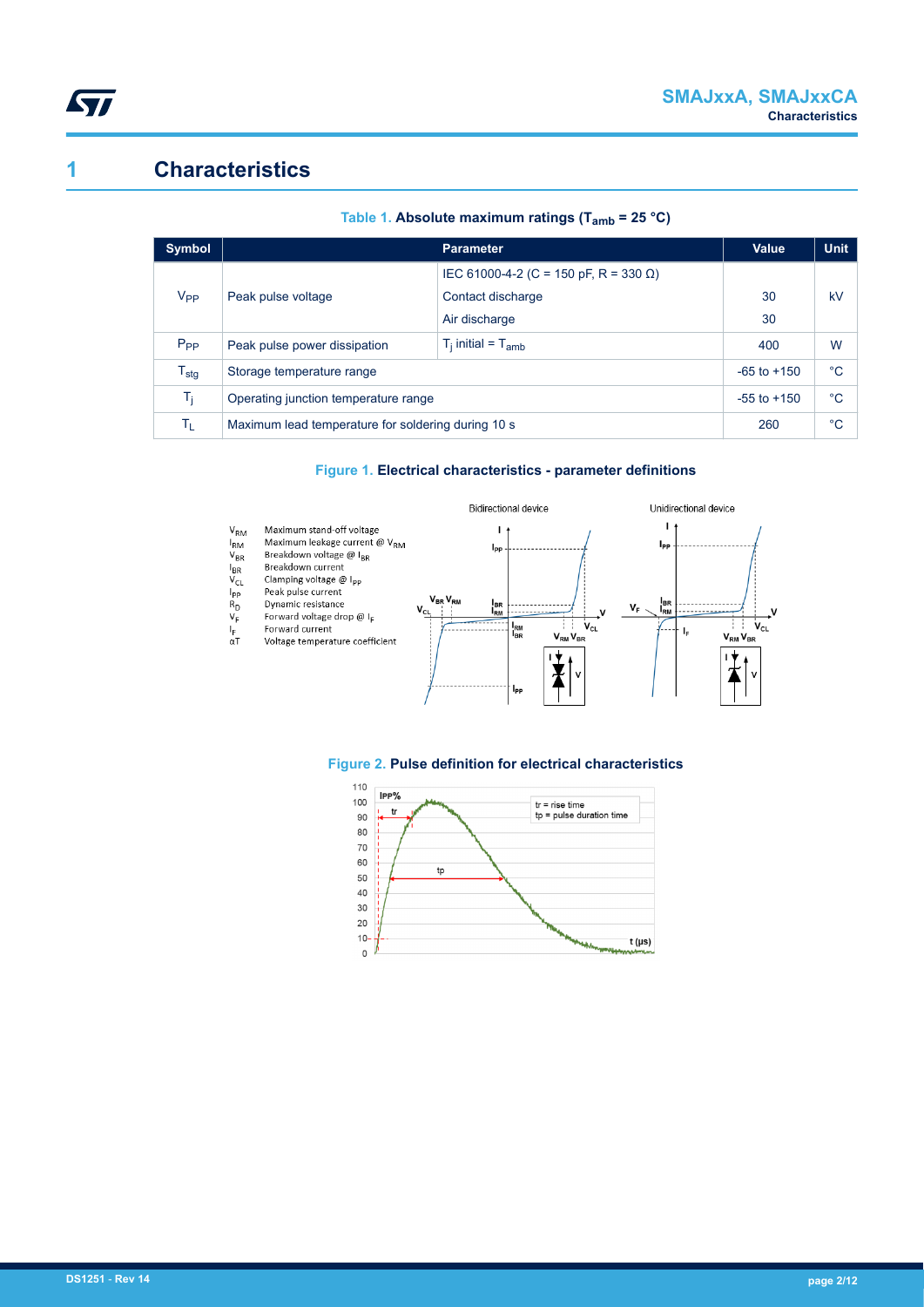

# **1 Characteristics**

| <b>Symbol</b>               |                                                    | <b>Parameter</b>                      | Value | <b>Unit</b> |
|-----------------------------|----------------------------------------------------|---------------------------------------|-------|-------------|
|                             |                                                    | IEC 61000-4-2 (C = 150 pF, R = 330 Ω) |       |             |
| V <sub>PP</sub>             | Peak pulse voltage                                 | Contact discharge                     | 30    | kV          |
|                             |                                                    | Air discharge                         | 30    |             |
| $P_{PP}$                    | Peak pulse power dissipation                       | $T_i$ initial = $T_{amb}$             | 400   | W           |
| $\mathsf{T}_{\textsf{stg}}$ | Storage temperature range                          | $-65$ to $+150$                       | °C    |             |
| $T_i$                       | Operating junction temperature range               | $-55$ to $+150$                       | °C    |             |
| ΤL                          | Maximum lead temperature for soldering during 10 s | 260                                   | °C    |             |

#### **Table 1. Absolute maximum ratings (Tamb = 25 °C)**

#### **Figure 1. Electrical characteristics - parameter definitions**



#### **Figure 2. Pulse definition for electrical characteristics**

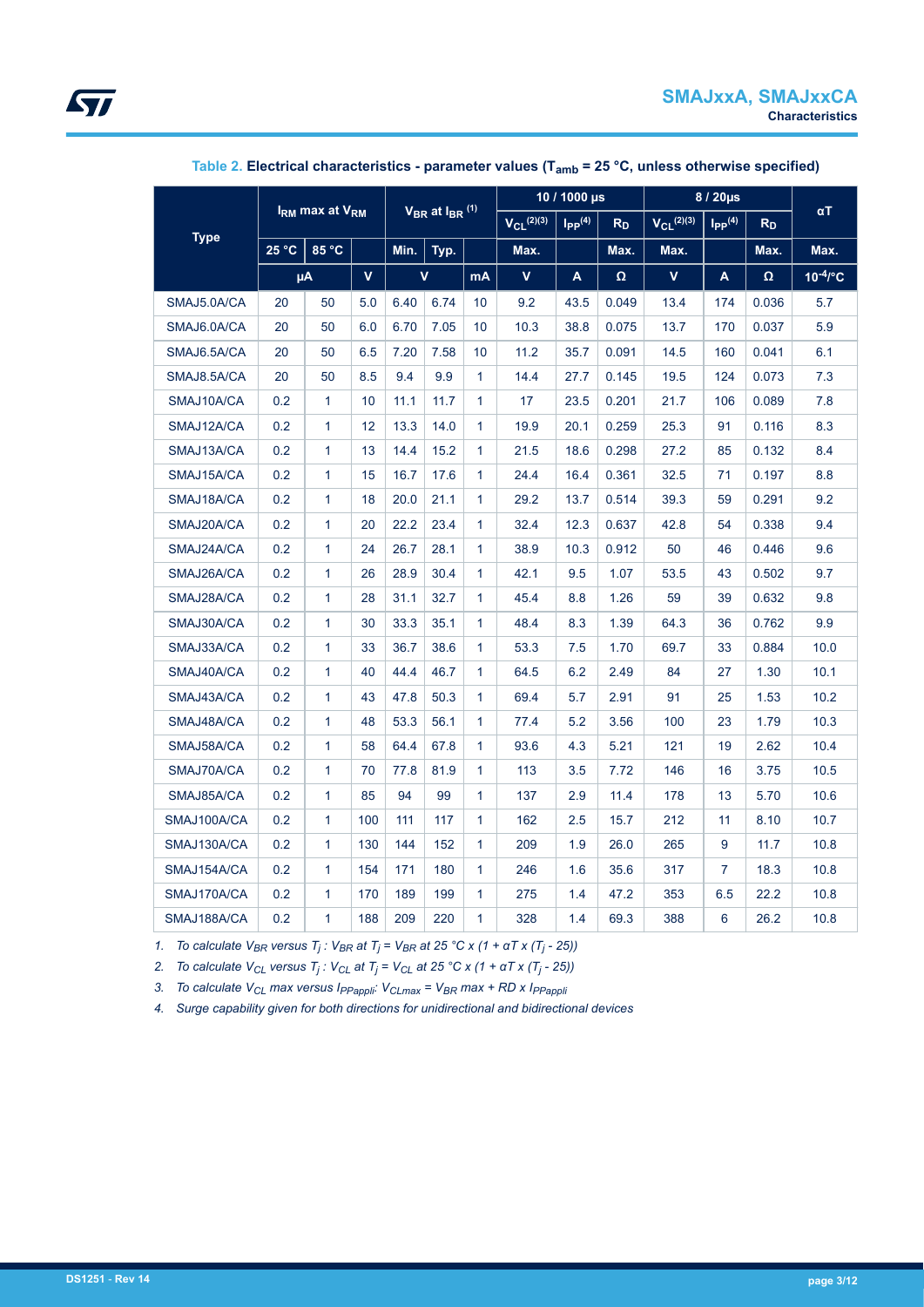|             | I <sub>RM</sub> max at V <sub>RM</sub> |                    |              | $V_{BR}$ at $I_{BR}$ <sup>(1)</sup> |              | 10 / 1000 µs      |                         | 8 / 20µs       |                 | αT                               |                |       |               |
|-------------|----------------------------------------|--------------------|--------------|-------------------------------------|--------------|-------------------|-------------------------|----------------|-----------------|----------------------------------|----------------|-------|---------------|
| <b>Type</b> |                                        |                    |              |                                     |              | $V_{CL}^{(2)(3)}$ | $I_{PP}$ <sup>(4)</sup> | R <sub>D</sub> | $V_{CL}$ (2)(3) | $\mathsf{I}_{\mathsf{PP}}^{(4)}$ | R <sub>D</sub> |       |               |
|             | 25 °C                                  | 85 °C              |              | Min.                                | Typ.         |                   | Max.                    |                | Max.            | Max.                             |                | Max.  | Max.          |
|             |                                        | $\overline{\mu}$ A | $\mathbf{V}$ |                                     | $\mathbf{V}$ | mA                | $\mathbf v$             | A              | $\Omega$        | $\mathbf v$                      | A              | Ω     | $10^{-4}$ /°C |
| SMAJ5.0A/CA | 20                                     | 50                 | 5.0          | 6.40                                | 6.74         | 10                | 9.2                     | 43.5           | 0.049           | 13.4                             | 174            | 0.036 | 5.7           |
| SMAJ6.0A/CA | 20                                     | 50                 | 6.0          | 6.70                                | 7.05         | 10                | 10.3                    | 38.8           | 0.075           | 13.7                             | 170            | 0.037 | 5.9           |
| SMAJ6.5A/CA | 20                                     | 50                 | 6.5          | 7.20                                | 7.58         | 10                | 11.2                    | 35.7           | 0.091           | 14.5                             | 160            | 0.041 | 6.1           |
| SMAJ8.5A/CA | 20                                     | 50                 | 8.5          | 9.4                                 | 9.9          | $\mathbf{1}$      | 14.4                    | 27.7           | 0.145           | 19.5                             | 124            | 0.073 | 7.3           |
| SMAJ10A/CA  | 0.2                                    | $\mathbf{1}$       | 10           | 11.1                                | 11.7         | $\mathbf{1}$      | 17                      | 23.5           | 0.201           | 21.7                             | 106            | 0.089 | 7.8           |
| SMAJ12A/CA  | 0.2                                    | $\mathbf{1}$       | 12           | 13.3                                | 14.0         | $\mathbf{1}$      | 19.9                    | 20.1           | 0.259           | 25.3                             | 91             | 0.116 | 8.3           |
| SMAJ13A/CA  | 0.2                                    | $\mathbf{1}$       | 13           | 14.4                                | 15.2         | $\mathbf{1}$      | 21.5                    | 18.6           | 0.298           | 27.2                             | 85             | 0.132 | 8.4           |
| SMAJ15A/CA  | 0.2                                    | $\mathbf{1}$       | 15           | 16.7                                | 17.6         | $\mathbf{1}$      | 24.4                    | 16.4           | 0.361           | 32.5                             | 71             | 0.197 | 8.8           |
| SMAJ18A/CA  | 0.2                                    | $\mathbf{1}$       | 18           | 20.0                                | 21.1         | $\mathbf{1}$      | 29.2                    | 13.7           | 0.514           | 39.3                             | 59             | 0.291 | 9.2           |
| SMAJ20A/CA  | 0.2                                    | $\mathbf{1}$       | 20           | 22.2                                | 23.4         | $\mathbf{1}$      | 32.4                    | 12.3           | 0.637           | 42.8                             | 54             | 0.338 | 9.4           |
| SMAJ24A/CA  | 0.2                                    | $\mathbf{1}$       | 24           | 26.7                                | 28.1         | 1                 | 38.9                    | 10.3           | 0.912           | 50                               | 46             | 0.446 | 9.6           |
| SMAJ26A/CA  | 0.2                                    | $\mathbf{1}$       | 26           | 28.9                                | 30.4         | $\mathbf{1}$      | 42.1                    | 9.5            | 1.07            | 53.5                             | 43             | 0.502 | 9.7           |
| SMAJ28A/CA  | 0.2                                    | $\mathbf{1}$       | 28           | 31.1                                | 32.7         | 1                 | 45.4                    | 8.8            | 1.26            | 59                               | 39             | 0.632 | 9.8           |
| SMAJ30A/CA  | 0.2                                    | 1                  | 30           | 33.3                                | 35.1         | $\mathbf{1}$      | 48.4                    | 8.3            | 1.39            | 64.3                             | 36             | 0.762 | 9.9           |
| SMAJ33A/CA  | 0.2                                    | $\mathbf{1}$       | 33           | 36.7                                | 38.6         | $\mathbf{1}$      | 53.3                    | 7.5            | 1.70            | 69.7                             | 33             | 0.884 | 10.0          |
| SMAJ40A/CA  | 0.2                                    | $\mathbf{1}$       | 40           | 44.4                                | 46.7         | $\mathbf{1}$      | 64.5                    | 6.2            | 2.49            | 84                               | 27             | 1.30  | 10.1          |
| SMAJ43A/CA  | 0.2                                    | $\mathbf{1}$       | 43           | 47.8                                | 50.3         | $\mathbf{1}$      | 69.4                    | 5.7            | 2.91            | 91                               | 25             | 1.53  | 10.2          |
| SMAJ48A/CA  | 0.2                                    | $\mathbf{1}$       | 48           | 53.3                                | 56.1         | $\mathbf{1}$      | 77.4                    | 5.2            | 3.56            | 100                              | 23             | 1.79  | 10.3          |
| SMAJ58A/CA  | 0.2                                    | $\mathbf{1}$       | 58           | 64.4                                | 67.8         | $\mathbf{1}$      | 93.6                    | 4.3            | 5.21            | 121                              | 19             | 2.62  | 10.4          |
| SMAJ70A/CA  | 0.2                                    | $\mathbf{1}$       | 70           | 77.8                                | 81.9         | $\mathbf{1}$      | 113                     | 3.5            | 7.72            | 146                              | 16             | 3.75  | 10.5          |
| SMAJ85A/CA  | 0.2                                    | $\mathbf{1}$       | 85           | 94                                  | 99           | $\mathbf{1}$      | 137                     | 2.9            | 11.4            | 178                              | 13             | 5.70  | 10.6          |
| SMAJ100A/CA | 0.2                                    | $\mathbf{1}$       | 100          | 111                                 | 117          | $\mathbf{1}$      | 162                     | 2.5            | 15.7            | 212                              | 11             | 8.10  | 10.7          |
| SMAJ130A/CA | 0.2                                    | $\mathbf{1}$       | 130          | 144                                 | 152          | $\mathbf{1}$      | 209                     | 1.9            | 26.0            | 265                              | 9              | 11.7  | 10.8          |
| SMAJ154A/CA | 0.2                                    | $\mathbf{1}$       | 154          | 171                                 | 180          | $\mathbf{1}$      | 246                     | 1.6            | 35.6            | 317                              | $\overline{7}$ | 18.3  | 10.8          |
| SMAJ170A/CA | 0.2                                    | 1                  | 170          | 189                                 | 199          | 1                 | 275                     | 1.4            | 47.2            | 353                              | 6.5            | 22.2  | 10.8          |
| SMAJ188A/CA | 0.2                                    | $\mathbf{1}$       | 188          | 209                                 | 220          | $\mathbf{1}$      | 328                     | 1.4            | 69.3            | 388                              | 6              | 26.2  | 10.8          |

#### **Table 2. Electrical characteristics - parameter values (Tamb = 25 °C, unless otherwise specified)**

*1. To calculate VBR versus T<sup>j</sup> : VBR at T<sup>j</sup> = VBR at 25 °C x (1 + αT x (T<sup>j</sup> - 25))*

*2. To calculate VCL versus T<sup>j</sup> : VCL at T<sup>j</sup> = VCL at 25 °C x (1 + αT x (T<sup>j</sup> - 25))*

*3. To calculate VCL max versus IPPappli: VCLmax = VBR max + RD x IPPappli*

*4. Surge capability given for both directions for unidirectional and bidirectional devices*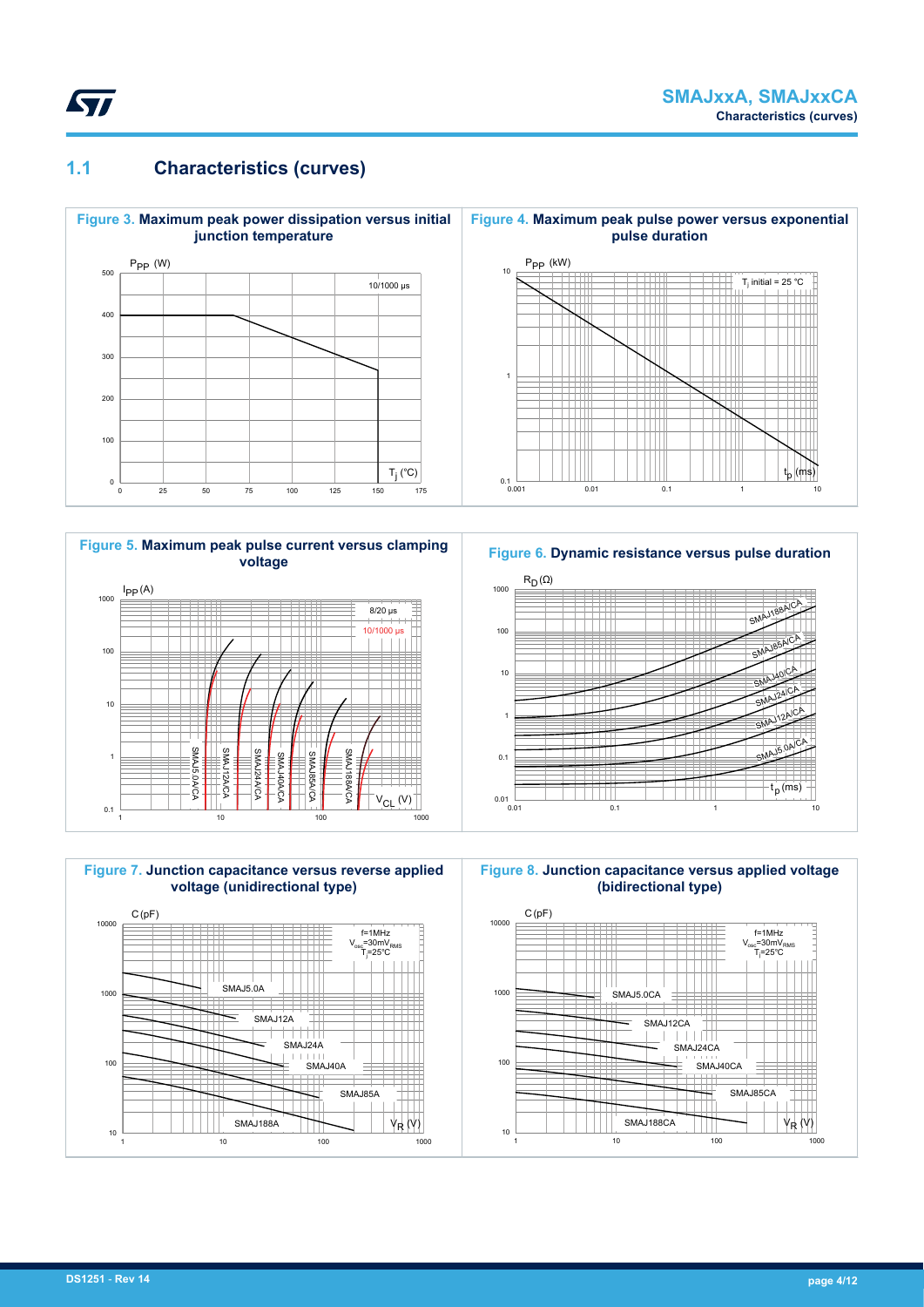

## **1.1 Characteristics (curves)**















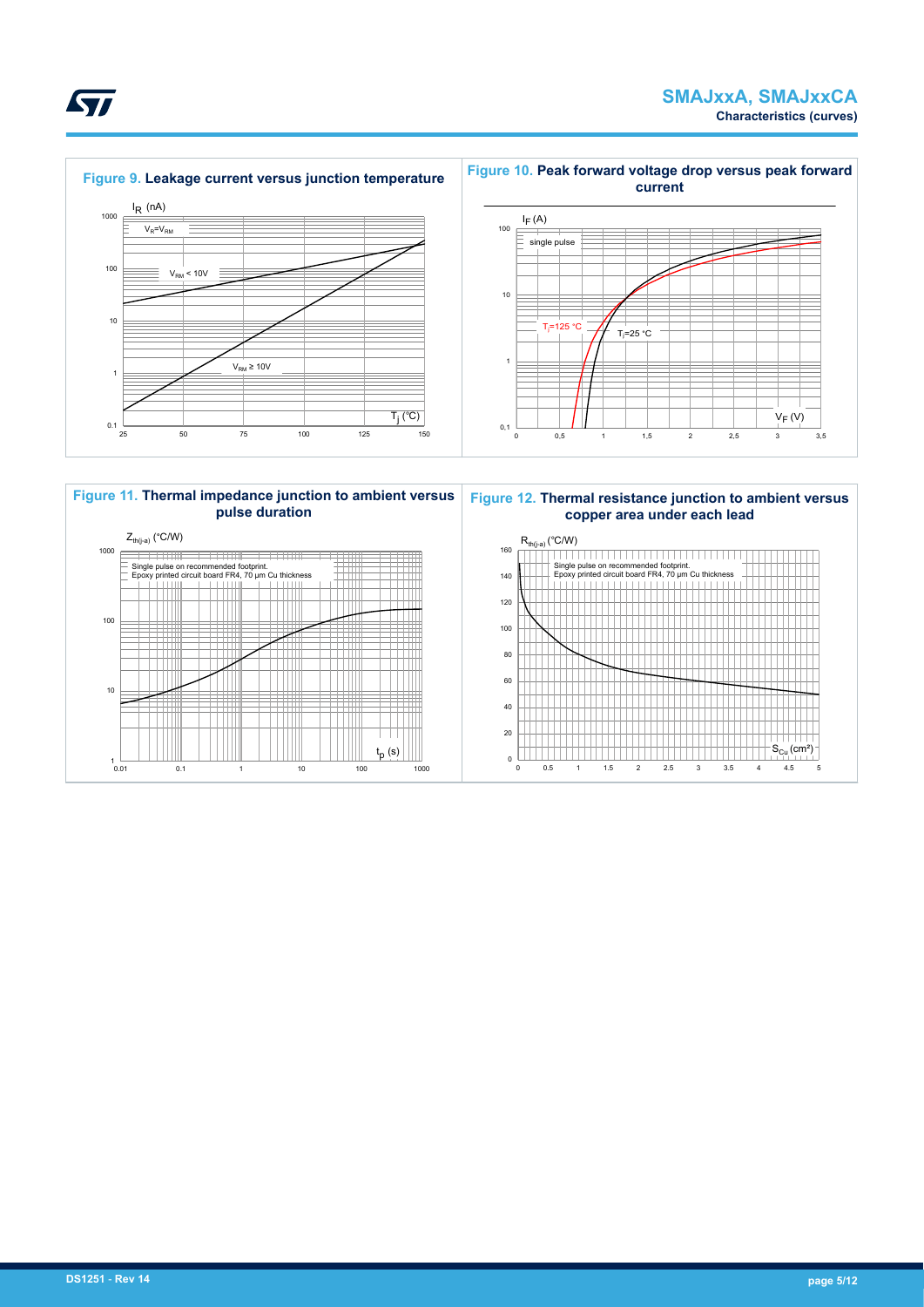



ST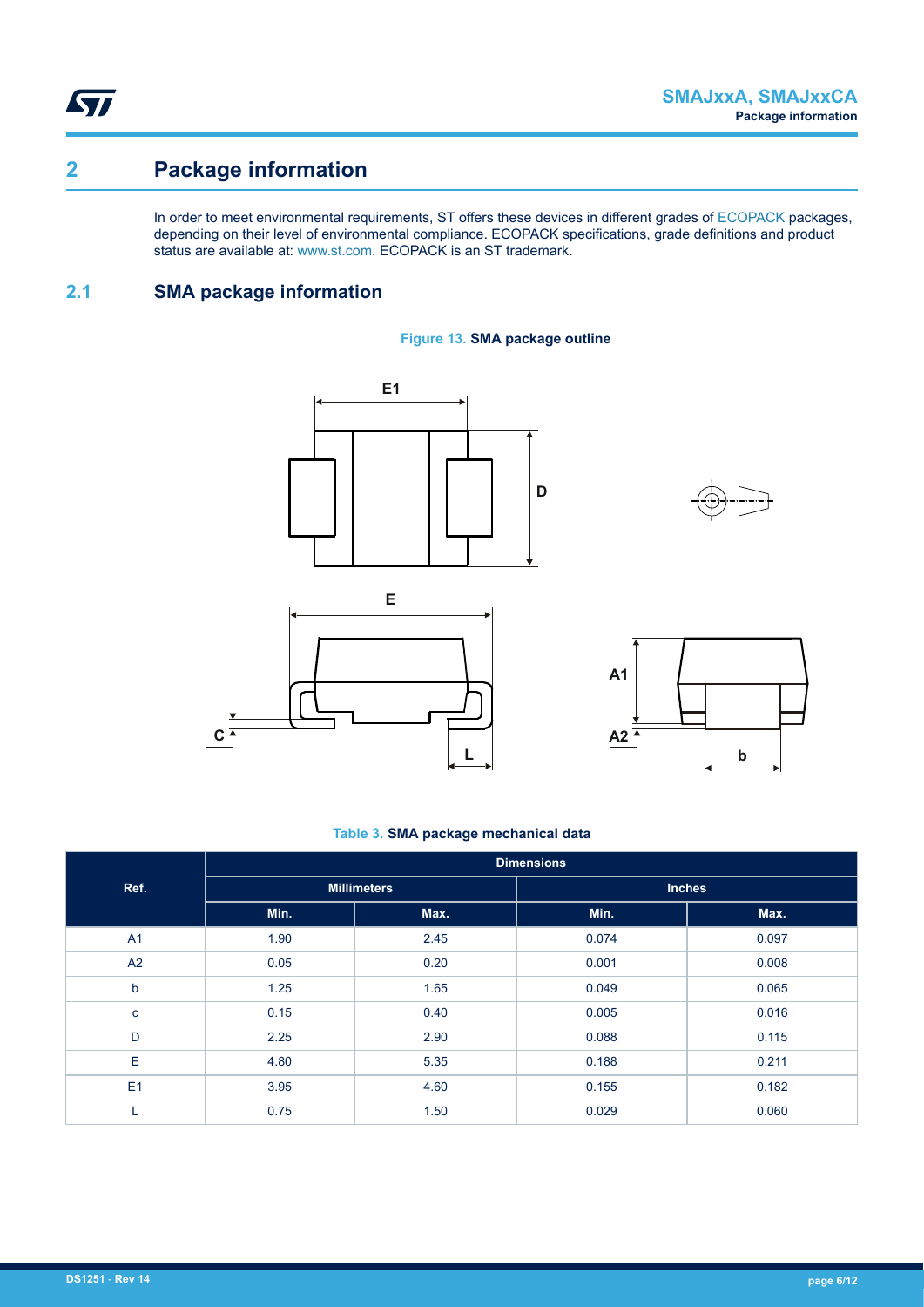**STI** 

# **2 Package information**

In order to meet environmental requirements, ST offers these devices in different grades of [ECOPACK](https://www.st.com/ecopack) packages, depending on their level of environmental compliance. ECOPACK specifications, grade definitions and product status are available at: [www.st.com.](http://www.st.com) ECOPACK is an ST trademark.

### **2.1 SMA package information**











#### **Table 3. SMA package mechanical data**

|                | <b>Dimensions</b> |                    |               |       |  |  |  |  |
|----------------|-------------------|--------------------|---------------|-------|--|--|--|--|
| Ref.           |                   | <b>Millimeters</b> | <b>Inches</b> |       |  |  |  |  |
|                | Min.              | Max.               | Min.          | Max.  |  |  |  |  |
| A <sub>1</sub> | 1.90              | 2.45               | 0.074         | 0.097 |  |  |  |  |
| A2             | 0.05              | 0.20               | 0.001         | 0.008 |  |  |  |  |
| $\mathsf b$    | 1.25              | 1.65               | 0.049         | 0.065 |  |  |  |  |
| c              | 0.15              | 0.40               | 0.005         | 0.016 |  |  |  |  |
| D              | 2.25              | 2.90               | 0.088         | 0.115 |  |  |  |  |
| E              | 4.80              | 5.35               | 0.188         | 0.211 |  |  |  |  |
| E1             | 3.95              | 4.60               | 0.155         | 0.182 |  |  |  |  |
| ┕              | 0.75              | 1.50               | 0.029         | 0.060 |  |  |  |  |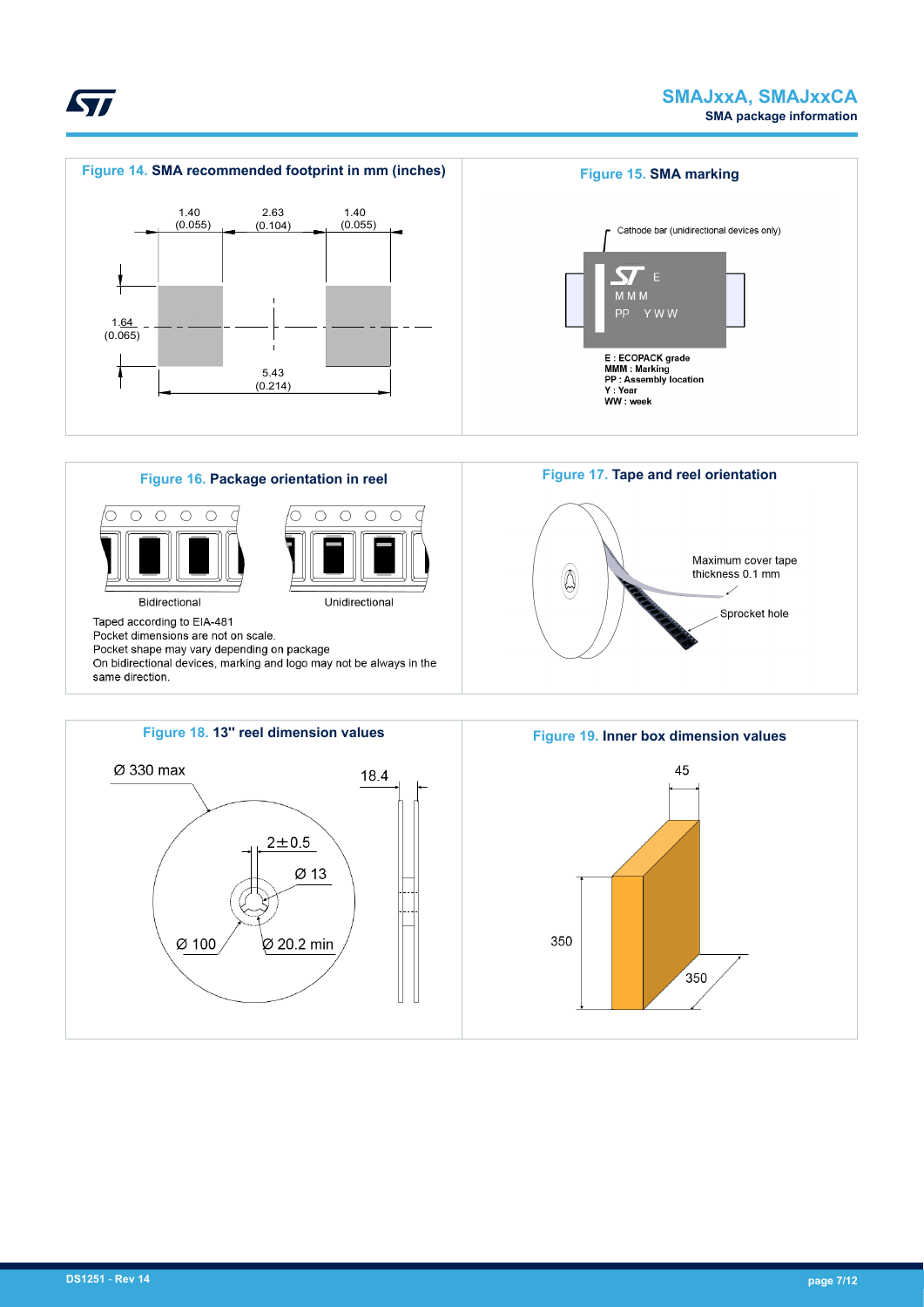





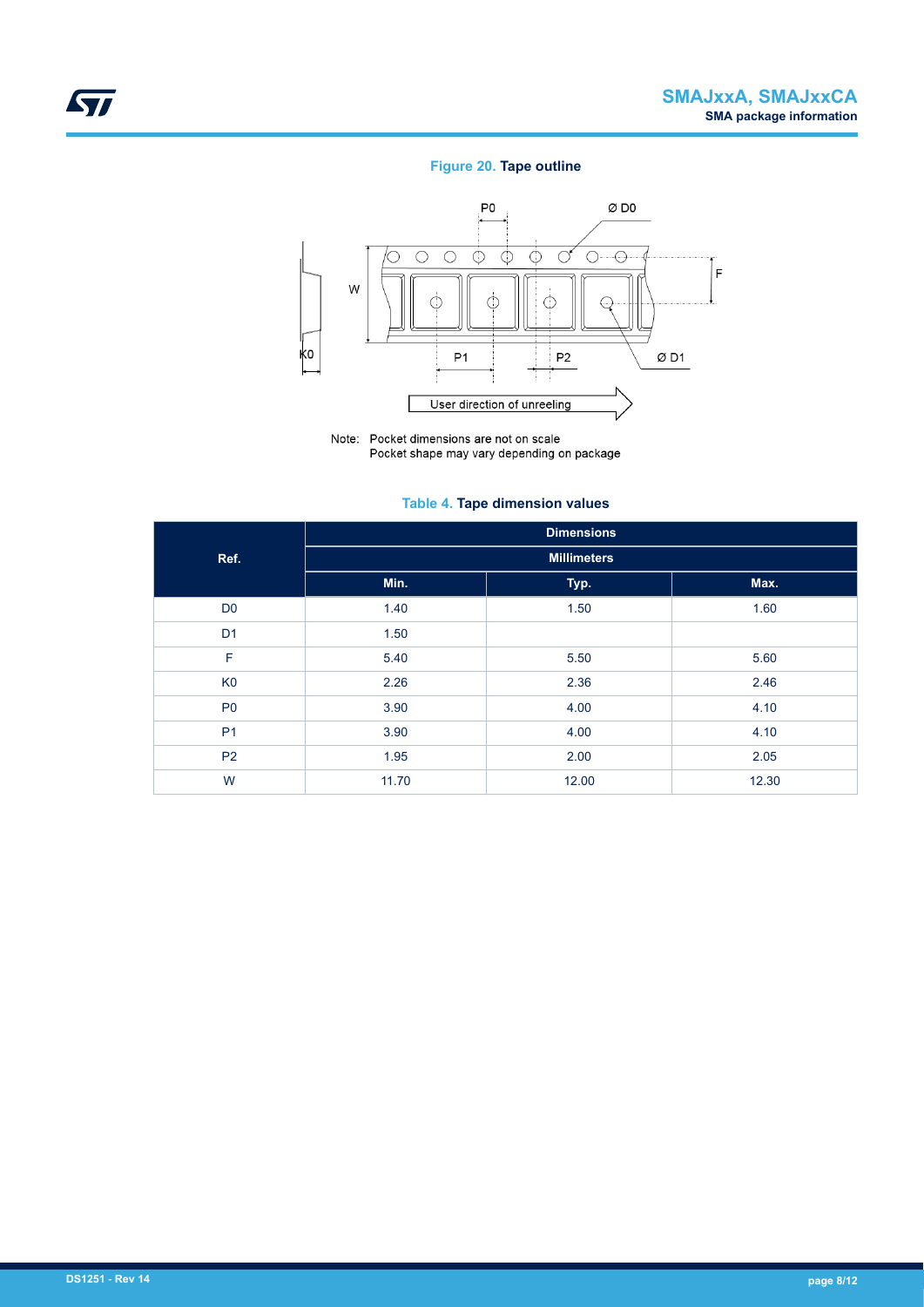#### **Figure 20. Tape outline**



Note: Pocket dimensions are not on scale Pocket shape may vary depending on package

#### **Table 4. Tape dimension values**

|                | <b>Dimensions</b>  |       |       |  |  |  |  |  |  |
|----------------|--------------------|-------|-------|--|--|--|--|--|--|
| Ref.           | <b>Millimeters</b> |       |       |  |  |  |  |  |  |
|                | Min.               | Typ.  | Max.  |  |  |  |  |  |  |
| D <sub>0</sub> | 1.40               | 1.50  | 1.60  |  |  |  |  |  |  |
| D <sub>1</sub> | 1.50               |       |       |  |  |  |  |  |  |
| F              | 5.40               | 5.50  | 5.60  |  |  |  |  |  |  |
| K <sub>0</sub> | 2.26               | 2.36  | 2.46  |  |  |  |  |  |  |
| P <sub>0</sub> | 3.90               | 4.00  | 4.10  |  |  |  |  |  |  |
| P <sub>1</sub> | 3.90               | 4.00  | 4.10  |  |  |  |  |  |  |
| P <sub>2</sub> | 1.95               | 2.00  | 2.05  |  |  |  |  |  |  |
| W              | 11.70              | 12.00 | 12.30 |  |  |  |  |  |  |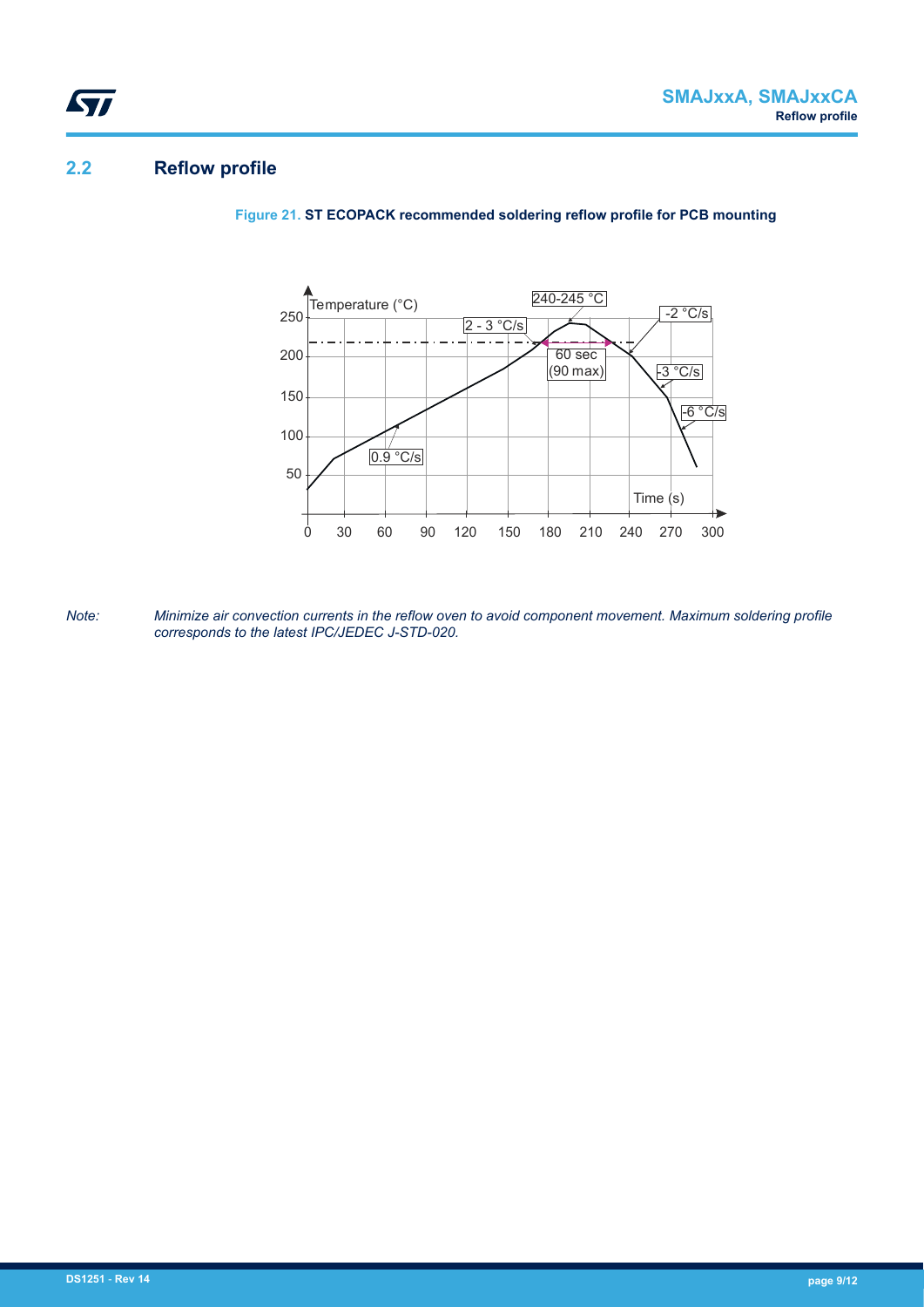## **2.2 Reflow profile**

ST

250  $\frac{1}{0}$ 50 100 150 200 30 60 90 120 150 180 210 240 270 300  $-6 °C/s$ 240-245 °C  $2 - 3 °C/s$ Temperature  $(^{\circ}C)$  240-245  $^{\circ}C$  240-245  $\sim$  2  $^{\circ}C/s$  $-3 °C/s$ Time (s) 0.9 °C/s 60 sec (90 max)

**Figure 21. ST ECOPACK recommended soldering reflow profile for PCB mounting**

*Note: Minimize air convection currents in the reflow oven to avoid component movement. Maximum soldering profile corresponds to the latest IPC/JEDEC J-STD-020.*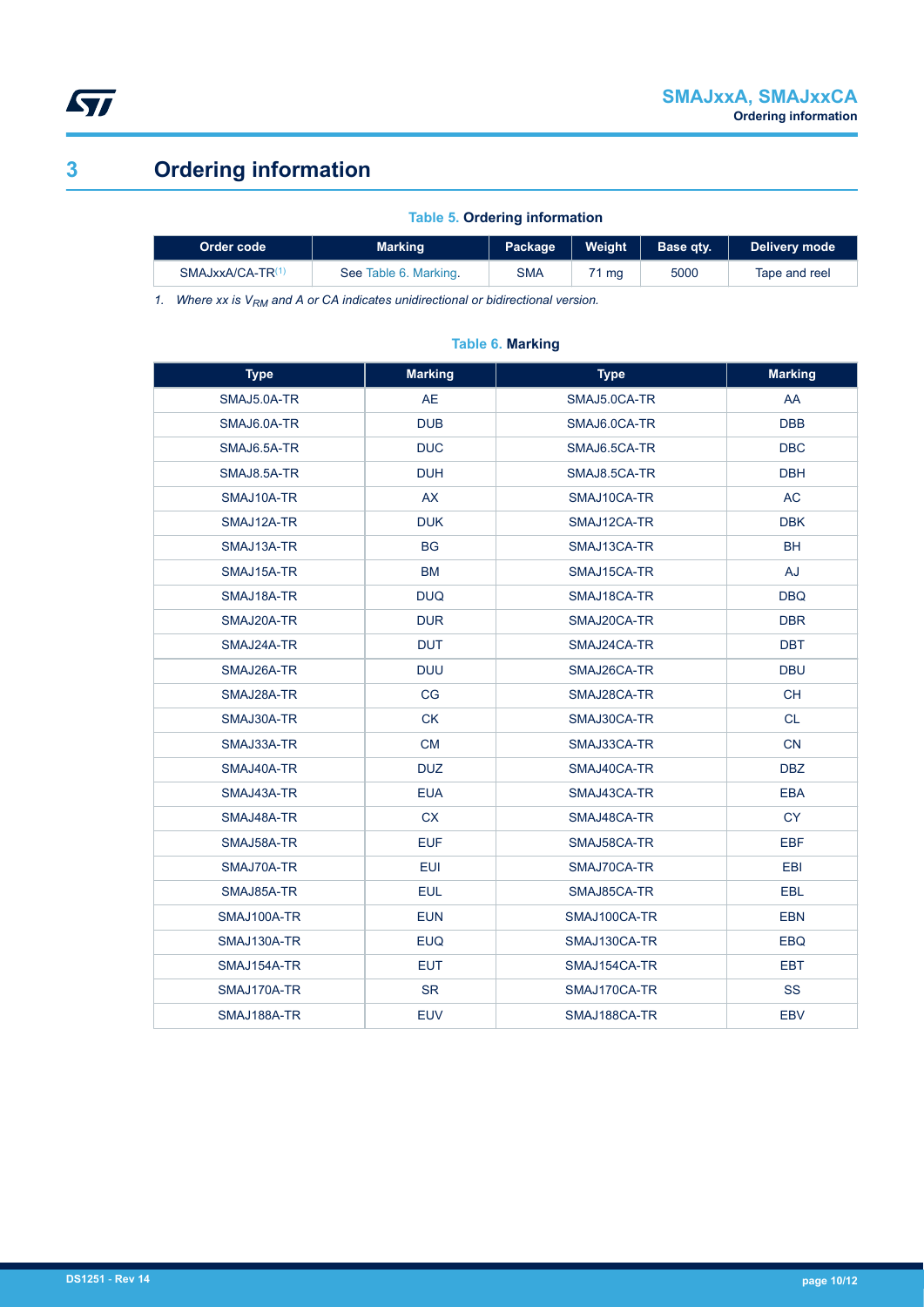

# **3 Ordering information**

#### **Table 5. Ordering information**

| Order code                   | <b>Marking</b>       | Package    | Weight            | Base atv. | Delivery mode |
|------------------------------|----------------------|------------|-------------------|-----------|---------------|
| SMAJxxA/CA-TR <sup>(1)</sup> | See Table 6. Marking | <b>SMA</b> | <sup>7</sup> 1 ma | 5000      | Tape and reel |

*1. Where xx is VRM and A or CA indicates unidirectional or bidirectional version.*

#### **Table 6. Marking**

| <b>Type</b> | <b>Marking</b> | <b>Type</b>  | <b>Marking</b> |
|-------------|----------------|--------------|----------------|
| SMAJ5.0A-TR | <b>AE</b>      | SMAJ5.0CA-TR | AA             |
| SMAJ6.0A-TR | <b>DUB</b>     | SMAJ6.0CA-TR | <b>DBB</b>     |
| SMAJ6.5A-TR | <b>DUC</b>     | SMAJ6.5CA-TR | <b>DBC</b>     |
| SMAJ8.5A-TR | <b>DUH</b>     | SMAJ8.5CA-TR | <b>DBH</b>     |
| SMAJ10A-TR  | <b>AX</b>      | SMAJ10CA-TR  | <b>AC</b>      |
| SMAJ12A-TR  | <b>DUK</b>     | SMAJ12CA-TR  | <b>DBK</b>     |
| SMAJ13A-TR  | <b>BG</b>      | SMAJ13CA-TR  | <b>BH</b>      |
| SMAJ15A-TR  | <b>BM</b>      | SMAJ15CA-TR  | AJ             |
| SMAJ18A-TR  | <b>DUQ</b>     | SMAJ18CA-TR  | <b>DBQ</b>     |
| SMAJ20A-TR  | <b>DUR</b>     | SMAJ20CA-TR  | <b>DBR</b>     |
| SMAJ24A-TR  | <b>DUT</b>     | SMAJ24CA-TR  | <b>DBT</b>     |
| SMAJ26A-TR  | <b>DUU</b>     | SMAJ26CA-TR  | <b>DBU</b>     |
| SMAJ28A-TR  | <b>CG</b>      | SMAJ28CA-TR  | <b>CH</b>      |
| SMAJ30A-TR  | <b>CK</b>      | SMAJ30CA-TR  | <b>CL</b>      |
| SMAJ33A-TR  | CM             | SMAJ33CA-TR  | CN             |
| SMAJ40A-TR  | <b>DUZ</b>     | SMAJ40CA-TR  | <b>DBZ</b>     |
| SMAJ43A-TR  | <b>EUA</b>     | SMAJ43CA-TR  | <b>EBA</b>     |
| SMAJ48A-TR  | <b>CX</b>      | SMAJ48CA-TR  | <b>CY</b>      |
| SMAJ58A-TR  | <b>EUF</b>     | SMAJ58CA-TR  | <b>EBF</b>     |
| SMAJ70A-TR  | <b>EUI</b>     | SMAJ70CA-TR  | EBI            |
| SMAJ85A-TR  | <b>EUL</b>     | SMAJ85CA-TR  | <b>EBL</b>     |
| SMAJ100A-TR | <b>EUN</b>     | SMAJ100CA-TR | <b>EBN</b>     |
| SMAJ130A-TR | <b>EUQ</b>     | SMAJ130CA-TR | <b>EBQ</b>     |
| SMAJ154A-TR | <b>EUT</b>     | SMAJ154CA-TR | <b>EBT</b>     |
| SMAJ170A-TR | <b>SR</b>      | SMAJ170CA-TR | <b>SS</b>      |
| SMAJ188A-TR | <b>EUV</b>     | SMAJ188CA-TR | <b>EBV</b>     |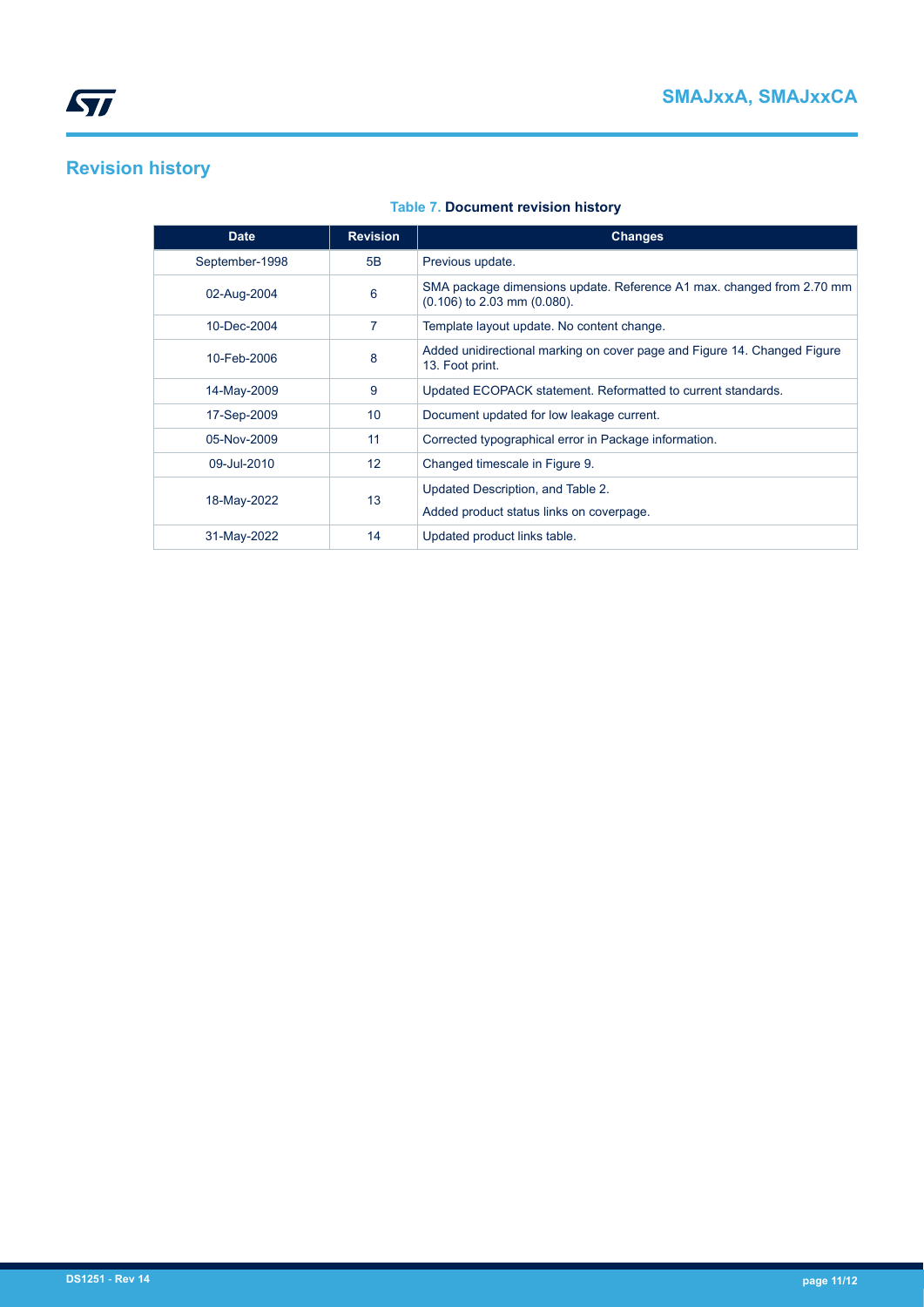# **Revision history**

| <b>Date</b>    | <b>Revision</b> | <b>Changes</b>                                                                                            |
|----------------|-----------------|-----------------------------------------------------------------------------------------------------------|
| September-1998 | 5B              | Previous update.                                                                                          |
| 02-Aug-2004    | 6               | SMA package dimensions update. Reference A1 max. changed from 2.70 mm<br>$(0.106)$ to 2.03 mm $(0.080)$ . |
| 10-Dec-2004    | 7               | Template layout update. No content change.                                                                |
| 10-Feb-2006    | 8               | Added unidirectional marking on cover page and Figure 14. Changed Figure<br>13. Foot print.               |
| 14-May-2009    | 9               | Updated ECOPACK statement. Reformatted to current standards.                                              |
| 17-Sep-2009    | 10 <sup>°</sup> | Document updated for low leakage current.                                                                 |
| 05-Nov-2009    | 11              | Corrected typographical error in Package information.                                                     |
| 09-Jul-2010    | 12 <sup>2</sup> | Changed timescale in Figure 9.                                                                            |
| 18-May-2022    | 13              | Updated Description, and Table 2.<br>Added product status links on coverpage.                             |
| 31-May-2022    | 14              | Updated product links table.                                                                              |

#### **Table 7. Document revision history**